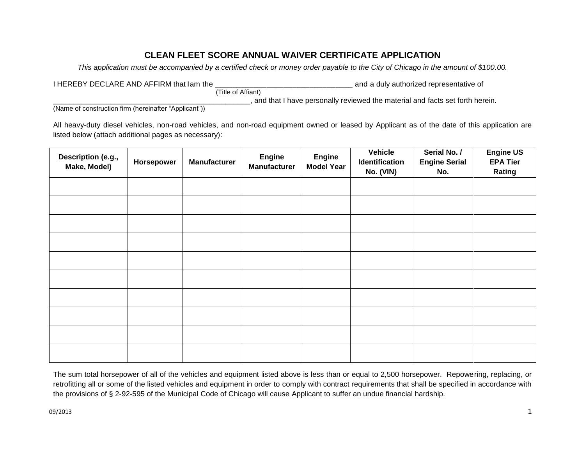## **CLEAN FLEET SCORE ANNUAL WAIVER CERTIFICATE APPLICATION**

*This application must be accompanied by a certified check or money order payable to the City of Chicago in the amount of \$100.00.*

| <b>I HEREBY DECLARE AND AFFIRM that Iam the</b> | and a duly authorized representative of |
|-------------------------------------------------|-----------------------------------------|
| 'Title of Affiant,                              |                                         |

\_\_\_\_\_\_\_\_\_\_\_\_\_\_\_\_\_\_\_\_\_\_\_\_\_\_\_\_\_\_\_\_\_\_\_\_\_\_\_\_\_\_\_\_\_\_\_\_, and that I have personally reviewed the material and facts set forth herein.

(Name of construction firm (hereinafter "Applicant"))

All heavy-duty diesel vehicles, non-road vehicles, and non-road equipment owned or leased by Applicant as of the date of this application are listed below (attach additional pages as necessary):

| Description (e.g.,<br>Make, Model) | Horsepower | <b>Manufacturer</b> | <b>Engine</b><br><b>Manufacturer</b> | Engine<br><b>Model Year</b> | <b>Vehicle</b><br>Identification<br>No. (VIN) | Serial No. /<br><b>Engine Serial</b><br>No. | <b>Engine US</b><br><b>EPA Tier</b><br>Rating |
|------------------------------------|------------|---------------------|--------------------------------------|-----------------------------|-----------------------------------------------|---------------------------------------------|-----------------------------------------------|
|                                    |            |                     |                                      |                             |                                               |                                             |                                               |
|                                    |            |                     |                                      |                             |                                               |                                             |                                               |
|                                    |            |                     |                                      |                             |                                               |                                             |                                               |
|                                    |            |                     |                                      |                             |                                               |                                             |                                               |
|                                    |            |                     |                                      |                             |                                               |                                             |                                               |
|                                    |            |                     |                                      |                             |                                               |                                             |                                               |
|                                    |            |                     |                                      |                             |                                               |                                             |                                               |
|                                    |            |                     |                                      |                             |                                               |                                             |                                               |
|                                    |            |                     |                                      |                             |                                               |                                             |                                               |
|                                    |            |                     |                                      |                             |                                               |                                             |                                               |

The sum total horsepower of all of the vehicles and equipment listed above is less than or equal to 2,500 horsepower. Repowering, replacing, or retrofitting all or some of the listed vehicles and equipment in order to comply with contract requirements that shall be specified in accordance with the provisions of § 2-92-595 of the Municipal Code of Chicago will cause Applicant to suffer an undue financial hardship.